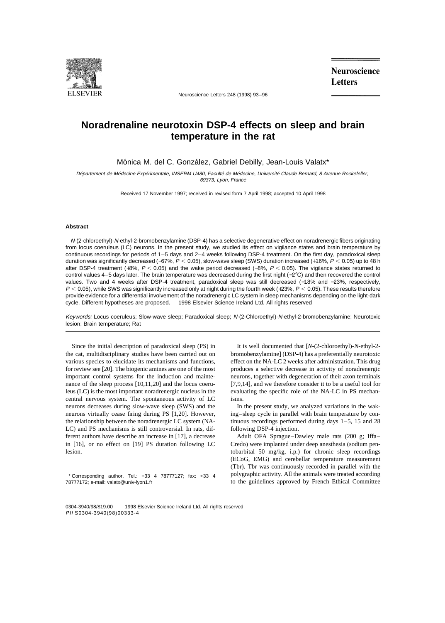

Neuroscience Letters 248 (1998) 93–96

**Neuroscience Letters** 

## **Noradrenaline neurotoxin DSP-4 effects on sleep and brain temperature in the rat**

Mónica M. del C. González, Gabriel Debilly, Jean-Louis Valatx\*

Département de Médecine Expérimentale, INSERM U480, Faculté de Médecine, Université Claude Bernard, 8 Avenue Rockefeller, 69373, Lyon, France

Received 17 November 1997; received in revised form 7 April 1998; accepted 10 April 1998

## **Abstract**

N-(2-chloroethyl)-N-ethyl-2-bromobenzylamine (DSP-4) has a selective degenerative effect on noradrenergic fibers originating from locus coeruleus (LC) neurons. In the present study, we studied its effect on vigilance states and brain temperature by continuous recordings for periods of 1–5 days and 2–4 weeks following DSP-4 treatment. On the first day, paradoxical sleep duration was significantly decreased (−67%,  $P < 0.05$ ), slow-wave sleep (SWS) duration increased (+16%,  $P < 0.05$ ) up to 48 h after DSP-4 treatment (+8%,  $P < 0.05$ ) and the wake period decreased (-8%,  $P < 0.05$ ). The vigilance states returned to control values 4–5 days later. The brain temperature was decreased during the first night (−2°C) and then recovered the control values. Two and 4 weeks after DSP-4 treatment, paradoxical sleep was still decreased (−18% and −23%, respectively,  $P < 0.05$ ), while SWS was significantly increased only at night during the fourth week (+23%,  $P < 0.05$ ). These results therefore provide evidence for a differential involvement of the noradrenergic LC system in sleep mechanisms depending on the light-dark cycle. Different hypotheses are proposed. © 1998 Elsevier Science Ireland Ltd. All rights reserved

Keywords: Locus coeruleus; Slow-wave sleep; Paradoxical sleep; N-(2-Chloroethyl)-N-ethyl-2-bromobenzylamine; Neurotoxic lesion; Brain temperature; Rat

Since the initial description of paradoxical sleep (PS) in the cat, multidisciplinary studies have been carried out on various species to elucidate its mechanisms and functions, for review see [20]. The biogenic amines are one of the most important control systems for the induction and maintenance of the sleep process [10,11,20] and the locus coeruleus (LC) is the most important noradrenergic nucleus in the central nervous system. The spontaneous activity of LC neurons decreases during slow-wave sleep (SWS) and the neurons virtually cease firing during PS [1,20]. However, the relationship between the noradrenergic LC system (NA-LC) and PS mechanisms is still controversial. In rats, different authors have describe an increase in [17], a decrease in [16], or no effect on [19] PS duration following LC lesion.

It is well documented that [*N*-(2-chloroethyl)-*N*-ethyl-2 bromobenzylamine] (DSP-4) has a preferentially neurotoxic effect on the NA-LC 2 weeks after administration. This drug produces a selective decrease in activity of noradrenergic neurons, together with degeneration of their axon terminals [7,9,14], and we therefore consider it to be a useful tool for evaluating the specific role of the NA-LC in PS mechanisms.

In the present study, we analyzed variations in the waking–sleep cycle in parallel with brain temperature by continuous recordings performed during days 1–5, 15 and 28 following DSP-4 injection.

Adult OFA Sprague–Dawley male rats (200 g; Iffa– Credo) were implanted under deep anesthesia (sodium pentobarbital 50 mg/kg, i.p.) for chronic sleep recordings (ECoG, EMG) and cerebellar temperature measurement (Tbr). Tbr was continuously recorded in parallel with the polygraphic activity. All the animals were treated according to the guidelines approved by French Ethical Committee

<sup>\*</sup> Corresponding author. Tel.: +33 4 78777127; fax: +33 4 78777172; e-mail: valatx@univ-lyon1.fr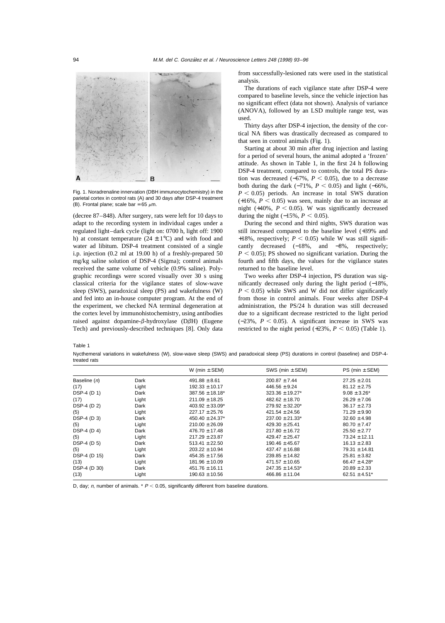

Fig. 1. Noradrenaline innervation (DBH immunocytochemistry) in the parietal cortex in control rats (A) and 30 days after DSP-4 treatment (B). Frontal plane; scale bar = 65  $\mu$ m.

(decree 87–848). After surgery, rats were left for 10 days to adapt to the recording system in individual cages under a regulated light–dark cycle (light on: 0700 h, light off: 1900 h) at constant temperature  $(24 \pm 1^{\circ}C)$  and with food and water ad libitum. DSP-4 treatment consisted of a single i.p. injection (0.2 ml at 19.00 h) of a freshly-prepared 50 mg/kg saline solution of DSP-4 (Sigma); control animals received the same volume of vehicle (0.9% saline). Polygraphic recordings were scored visually over 30 s using classical criteria for the vigilance states of slow-wave sleep (SWS), paradoxical sleep (PS) and wakefulness (W) and fed into an in-house computer program. At the end of the experiment, we checked NA terminal degeneration at the cortex level by immunohistochemistry, using antibodies raised against dopamine- $\beta$ -hydroxylase (D $\beta$ H) (Eugene Tech) and previously-described techniques [8]. Only data

from successfully-lesioned rats were used in the statistical analysis.

The durations of each vigilance state after DSP-4 were compared to baseline levels, since the vehicle injection has no significant effect (data not shown). Analysis of variance (ANOVA), followed by an LSD multiple range test, was used.

Thirty days after DSP-4 injection, the density of the cortical NA fibers was drastically decreased as compared to that seen in control animals (Fig. 1).

Starting at about 30 min after drug injection and lasting for a period of several hours, the animal adopted a 'frozen' attitude. As shown in Table 1, in the first 24 h following DSP-4 treatment, compared to controls, the total PS duration was decreased  $(-67\%, P \le 0.05)$ , due to a decrease both during the dark  $(-71\%, P \le 0.05)$  and light  $(-66\%,$  $P < 0.05$ ) periods. An increase in total SWS duration  $(+16\%, P < 0.05)$  was seen, mainly due to an increase at night  $(+40\% , P < 0.05)$ . W was significantly decreased during the night  $(-15\%, P < 0.05)$ .

During the second and third nights, SWS duration was still increased compared to the baseline level (+39% and +18%, respectively;  $P < 0.05$ ) while W was still significantly decreased (−18%, and −8%, respectively;  $P < 0.05$ ; PS showed no significant variation. During the fourth and fifth days, the values for the vigilance states returned to the baseline level.

Two weeks after DSP-4 injection, PS duration was significantly decreased only during the light period (−18%,  $P < 0.05$ ) while SWS and W did not differ significantly from those in control animals. Four weeks after DSP-4 administration, the PS/24 h duration was still decreased due to a significant decrease restricted to the light period  $(-23\%, P < 0.05)$ . A significant increase in SWS was restricted to the night period  $(+23\%, P < 0.05)$  (Table 1).

Table 1

Nycthemeral variations in wakefulness (W), slow-wave sleep (SWS) and paradoxical sleep (PS) durations in control (baseline) and DSP-4 treated rats

|              |       | W (min $\pm$ SEM)    | SWS (min $\pm$ SEM)  | PS (min $\pm$ SEM) |
|--------------|-------|----------------------|----------------------|--------------------|
| Baseline (n) | Dark  | $491.88 \pm 8.61$    | $200.87 \pm 7.44$    | $27.25 \pm 2.01$   |
| (17)         | Light | $192.33 \pm 10.17$   | $446.56 \pm 9.24$    | $81.12 \pm 2.75$   |
| DSP-4 (D 1)  | Dark  | $387.56 \pm 18.18^*$ | $323.36 \pm 19.27$ * | $9.08 \pm 3.26^*$  |
| (17)         | Light | $211.09 \pm 18.25$   | $482.62 \pm 18.70$   | $26.29 \pm 7.06$   |
| DSP-4 (D 2)  | Dark  | $403.92 \pm 33.09^*$ | $279.92 \pm 32.20^*$ | $36.17 \pm 2.73$   |
| (5)          | Light | $227.17 \pm 25.76$   | $421.54 \pm 24.56$   | $71.29 \pm 9.90$   |
| DSP-4 (D 3)  | Dark  | $450.40 \pm 24.37$ * | $237.00 \pm 21.33^*$ | $32.60 \pm 4.98$   |
| (5)          | Light | $210.00 \pm 26.09$   | $429.30 \pm 25.41$   | $80.70 \pm 7.47$   |
| DSP-4 (D 4)  | Dark  | $476.70 \pm 17.48$   | $217.80 \pm 16.72$   | $25.50 \pm 2.77$   |
| (5)          | Light | $217.29 \pm 23.87$   | $429.47 \pm 25.47$   | $73.24 \pm 12.11$  |
| DSP-4 (D 5)  | Dark  | $513.41 \pm 22.50$   | $190.46 \pm 45.67$   | $16.13 \pm 2.83$   |
| (5)          | Light | $203.22 \pm 10.94$   | $437.47 \pm 16.88$   | $79.31 \pm 14.81$  |
| DSP-4 (D 15) | Dark  | $454.35 \pm 17.56$   | $239.85 \pm 14.82$   | $25.81 \pm 3.82$   |
| (13)         | Light | $181.96 \pm 10.09$   | $471.57 \pm 10.65$   | $66.47 \pm 4.28^*$ |
| DSP-4 (D 30) | Dark  | $451.76 \pm 16.11$   | $247.35 \pm 14.53^*$ | $20.89 \pm 2.33$   |
| (13)         | Light | $190.63 \pm 10.56$   | $466.86 \pm 11.04$   | 62.51 $\pm$ 4.51*  |

D, day; n, number of animals. \*  $P < 0.05$ , significantly different from baseline durations.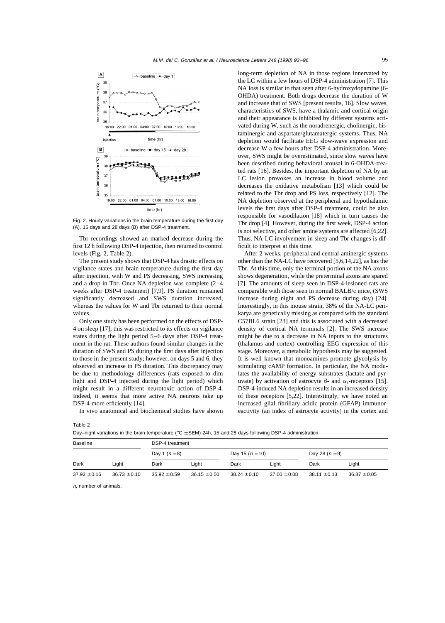

Fig. 2. Hourly variations in the brain temperature during the first day (A), 15 days and 28 days (B) after DSP-4 treatment.

Tbr recordings showed an marked decrease during the first 12 h following DSP-4 injection, then returned to control levels (Fig. 2, Table 2).

The present study shows that DSP-4 has drastic effects on vigilance states and brain temperature during the first day after injection, with W and PS decreasing, SWS increasing and a drop in Tbr. Once NA depletion was complete (2–4 weeks after DSP-4 treatment) [7,9], PS duration remained significantly decreased and SWS duration increased, whereas the values for W and Tbr returned to their normal values.

Only one study has been performed on the effects of DSP-4 on sleep [17]; this was restricted to its effects on vigilance states during the light period 5–6 days after DSP-4 treatment in the rat. These authors found similar changes in the duration of SWS and PS during the first days after injection to those in the present study; however, on days 5 and 6, they observed an increase in PS duration. This discrepancy may be due to methodology differences (rats exposed to dim light and DSP-4 injected during the light period) which might result in a different neurotoxic action of DSP-4. Indeed, it seems that more active NA neurons take up DSP-4 more efficiently [14].

In vivo anatomical and biochemical studies have shown

long-term depletion of NA in those regions innervated by the LC within a few hours of DSP-4 administration [7]. This NA loss is similar to that seen after 6-hydroxydopamine (6- OHDA) treatment. Both drugs decrease the duration of W and increase that of SWS [present results, 16]. Slow waves, characteristics of SWS, have a thalamic and cortical origin and their appearance is inhibited by different systems activated during W, such as the noradrenergic, cholinergic, histaminergic and aspartate/glutamatergic systems. Thus, NA depletion would facilitate EEG slow-wave expression and decrease W a few hours after DSP-4 administration. Moreover, SWS might be overestimated, since slow waves have been described during behavioral arousal in 6-OHDA-treated rats [16]. Besides, the important depletion of NA by an LC lesion provokes an increase in blood volume and decreases the oxidative metabolism [13] which could be related to the Tbr drop and PS loss, respectively [12]. The NA depletion observed at the peripheral and hypothalamic levels the first days after DSP-4 treatment, could be also responsible for vasodilation [18] which in turn causes the Tbr drop [4]. However, during the first week, DSP-4 action is not selective, and other amine systems are affected [6,22]. Thus, NA-LC involvement in sleep and Tbr changes is difficult to interpret at this time.

After 2 weeks, peripheral and central aminergic systems other than the NA-LC have recovered [5,6,14,22], as has the Tbr. At this time, only the terminal portion of the NA axons shows degeneration, while the preterminal axons are spared [7]. The amounts of sleep seen in DSP-4-lesioned rats are comparable with those seen in normal BALB/c mice, (SWS increase during night and PS decrease during day) [24]. Interestingly, in this mouse strain, 38% of the NA-LC perikarya are genetically missing as compared with the standard C57BL6 strain [23] and this is associated with a decreased density of cortical NA terminals [2]. The SWS increase might be due to a decrease in NA inputs to the structures (thalamus and cortex) controlling EEG expression of this stage. Moreover, a metabolic hypothesis may be suggested. It is well known that monoamines promote glycolysis by stimulating cAMP formation. In particular, the NA modulates the availability of energy substrates (lactate and pyruvate) by activation of astrocyte  $\beta$ - and  $\alpha_1$ -receptors [15]. DSP-4-induced NA depletion results in an increased density of these receptors [5,22]. Interestingly, we have noted an increased glial fibrillary acidic protein (GFAP) immunoreactivity (an index of astrocyte activity) in the cortex and

Table 2

Day–night variations in the brain temperature ( $\degree$ C  $\pm$  SEM) 24h, 15 and 28 days following DSP-4 administration

| <b>Baseline</b>  |                  | DSP-4 treatment  |                  |                   |                  |                  |                  |  |  |
|------------------|------------------|------------------|------------------|-------------------|------------------|------------------|------------------|--|--|
|                  |                  | Day 1 $(n = 8)$  |                  | Day 15 $(n = 10)$ |                  | Day 28 $(n = 9)$ |                  |  |  |
| Dark             | Light            | Dark             | Light            | Dark              | Light            | Dark             | Light            |  |  |
| $37.92 \pm 0.16$ | $36.73 \pm 0.10$ | $35.92 \pm 0.59$ | $36.15 \pm 0.50$ | $38.24 \pm 0.10$  | $37.00 \pm 0.08$ | $38.11 \pm 0.13$ | $36.87 \pm 0.05$ |  |  |

<sup>n</sup>, number of animals.